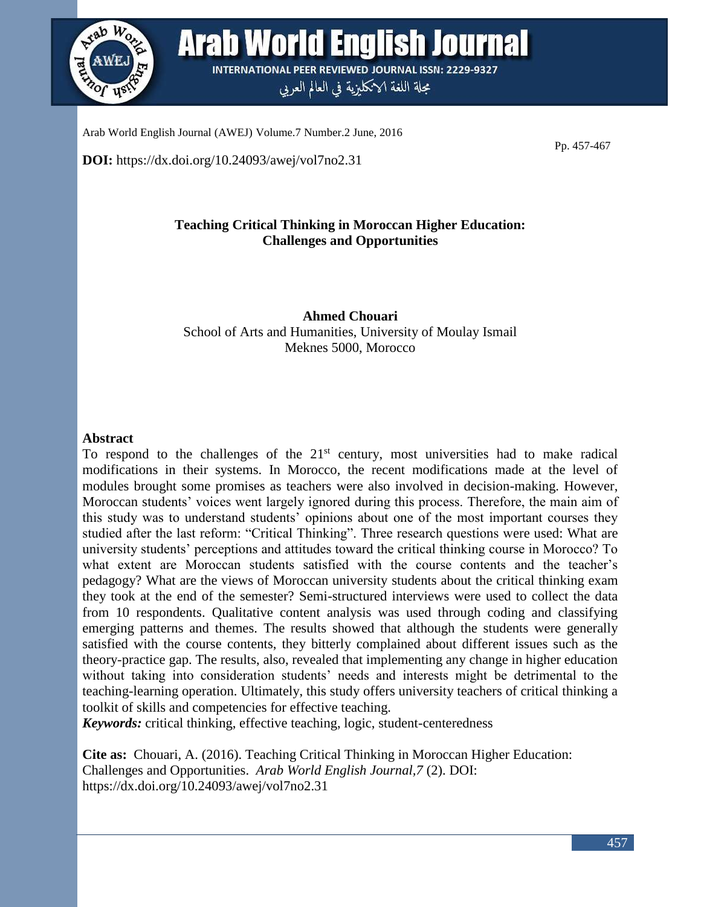

Arab World English Journal **INTERNATIONAL PEER REVIEWED JOURNAL ISSN: 2229-9327** 

مجلة اللغة الانكليزية في العالم العربي

Arab World English Journal (AWEJ) Volume.7 Number.2 June, 2016

**DOI:** https://dx.doi.org/10.24093/awej/vol7no2.31

Pp. 457-467

# **Teaching Critical Thinking in Moroccan Higher Education: Challenges and Opportunities**

**Ahmed Chouari** School of Arts and Humanities, University of Moulay Ismail Meknes 5000, Morocco

#### **Abstract**

To respond to the challenges of the  $21<sup>st</sup>$  century, most universities had to make radical modifications in their systems. In Morocco, the recent modifications made at the level of modules brought some promises as teachers were also involved in decision-making. However, Moroccan students' voices went largely ignored during this process. Therefore, the main aim of this study was to understand students' opinions about one of the most important courses they studied after the last reform: "Critical Thinking". Three research questions were used: What are university students' perceptions and attitudes toward the critical thinking course in Morocco? To what extent are Moroccan students satisfied with the course contents and the teacher's pedagogy? What are the views of Moroccan university students about the critical thinking exam they took at the end of the semester? Semi-structured interviews were used to collect the data from 10 respondents. Qualitative content analysis was used through coding and classifying emerging patterns and themes. The results showed that although the students were generally satisfied with the course contents, they bitterly complained about different issues such as the theory-practice gap. The results, also, revealed that implementing any change in higher education without taking into consideration students' needs and interests might be detrimental to the teaching-learning operation. Ultimately, this study offers university teachers of critical thinking a toolkit of skills and competencies for effective teaching.

*Keywords:* critical thinking, effective teaching, logic, student-centeredness

**Cite as:** Chouari, A. (2016). Teaching Critical Thinking in Moroccan Higher Education: Challenges and Opportunities. *Arab World English Journal,7* (2). DOI: https://dx.doi.org/10.24093/awej/vol7no2.31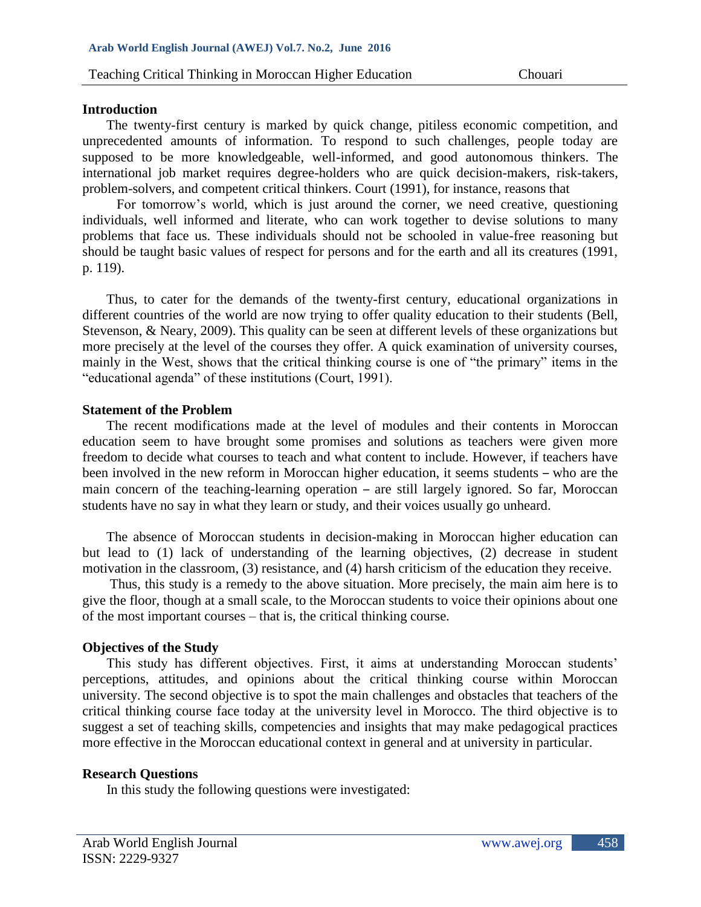#### **Introduction**

The twenty-first century is marked by quick change, pitiless economic competition, and unprecedented amounts of information. To respond to such challenges, people today are supposed to be more knowledgeable, well-informed, and good autonomous thinkers. The international job market requires degree-holders who are quick decision-makers, risk-takers, problem-solvers, and competent critical thinkers. Court (1991), for instance, reasons that

 For tomorrow's world, which is just around the corner, we need creative, questioning individuals, well informed and literate, who can work together to devise solutions to many problems that face us. These individuals should not be schooled in value-free reasoning but should be taught basic values of respect for persons and for the earth and all its creatures (1991, p. 119).

 Thus, to cater for the demands of the twenty-first century, educational organizations in different countries of the world are now trying to offer quality education to their students (Bell, Stevenson, & Neary, 2009). This quality can be seen at different levels of these organizations but more precisely at the level of the courses they offer. A quick examination of university courses, mainly in the West, shows that the critical thinking course is one of "the primary" items in the "educational agenda" of these institutions (Court, 1991).

### **Statement of the Problem**

The recent modifications made at the level of modules and their contents in Moroccan education seem to have brought some promises and solutions as teachers were given more freedom to decide what courses to teach and what content to include. However, if teachers have been involved in the new reform in Moroccan higher education, it seems students – who are the main concern of the teaching-learning operation – are still largely ignored. So far, Moroccan students have no say in what they learn or study, and their voices usually go unheard.

 The absence of Moroccan students in decision-making in Moroccan higher education can but lead to (1) lack of understanding of the learning objectives, (2) decrease in student motivation in the classroom, (3) resistance, and (4) harsh criticism of the education they receive.

 Thus, this study is a remedy to the above situation. More precisely, the main aim here is to give the floor, though at a small scale, to the Moroccan students to voice their opinions about one of the most important courses – that is, the critical thinking course.

### **Objectives of the Study**

 This study has different objectives. First, it aims at understanding Moroccan students' perceptions, attitudes, and opinions about the critical thinking course within Moroccan university. The second objective is to spot the main challenges and obstacles that teachers of the critical thinking course face today at the university level in Morocco. The third objective is to suggest a set of teaching skills, competencies and insights that may make pedagogical practices more effective in the Moroccan educational context in general and at university in particular.

### **Research Questions**

In this study the following questions were investigated: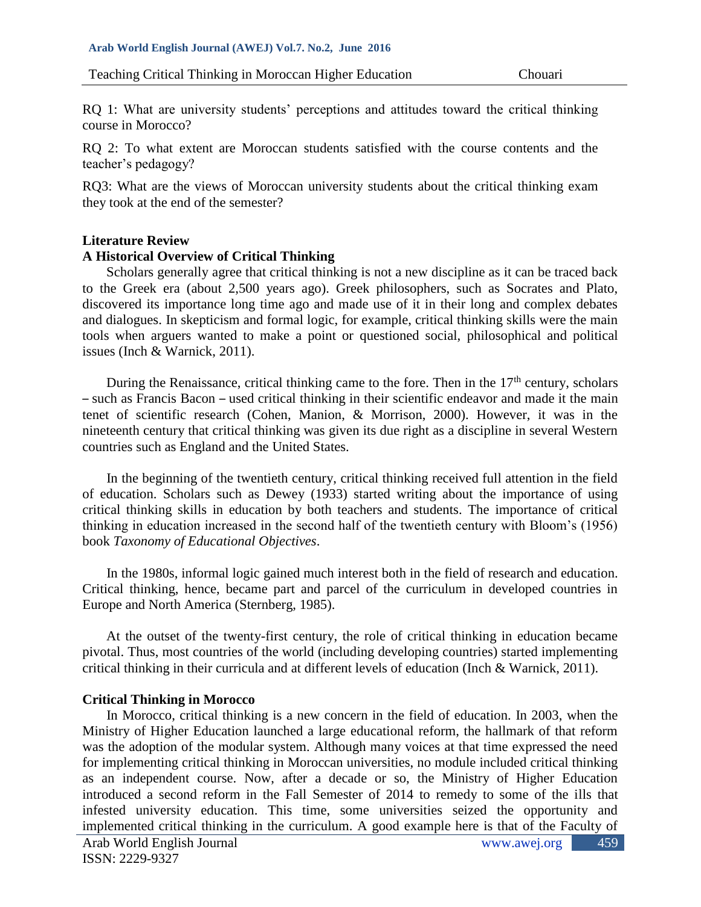RQ 1: What are university students' perceptions and attitudes toward the critical thinking course in Morocco?

RQ 2: To what extent are Moroccan students satisfied with the course contents and the teacher's pedagogy?

RQ3: What are the views of Moroccan university students about the critical thinking exam they took at the end of the semester?

## **Literature Review**

## **A Historical Overview of Critical Thinking**

 Scholars generally agree that critical thinking is not a new discipline as it can be traced back to the Greek era (about 2,500 years ago). Greek philosophers, such as Socrates and Plato, discovered its importance long time ago and made use of it in their long and complex debates and dialogues. In skepticism and formal logic, for example, critical thinking skills were the main tools when arguers wanted to make a point or questioned social, philosophical and political issues (Inch & Warnick, 2011).

During the Renaissance, critical thinking came to the fore. Then in the  $17<sup>th</sup>$  century, scholars – such as Francis Bacon – used critical thinking in their scientific endeavor and made it the main tenet of scientific research (Cohen, Manion, & Morrison, 2000). However, it was in the nineteenth century that critical thinking was given its due right as a discipline in several Western countries such as England and the United States.

 In the beginning of the twentieth century, critical thinking received full attention in the field of education. Scholars such as Dewey (1933) started writing about the importance of using critical thinking skills in education by both teachers and students. The importance of critical thinking in education increased in the second half of the twentieth century with Bloom's (1956) book *Taxonomy of Educational Objectives*.

 In the 1980s, informal logic gained much interest both in the field of research and education. Critical thinking, hence, became part and parcel of the curriculum in developed countries in Europe and North America (Sternberg, 1985).

 At the outset of the twenty-first century, the role of critical thinking in education became pivotal. Thus, most countries of the world (including developing countries) started implementing critical thinking in their curricula and at different levels of education (Inch & Warnick, 2011).

# **Critical Thinking in Morocco**

In Morocco, critical thinking is a new concern in the field of education. In 2003, when the Ministry of Higher Education launched a large educational reform, the hallmark of that reform was the adoption of the modular system. Although many voices at that time expressed the need for implementing critical thinking in Moroccan universities, no module included critical thinking as an independent course. Now, after a decade or so, the Ministry of Higher Education introduced a second reform in the Fall Semester of 2014 to remedy to some of the ills that infested university education. This time, some universities seized the opportunity and implemented critical thinking in the curriculum. A good example here is that of the Faculty of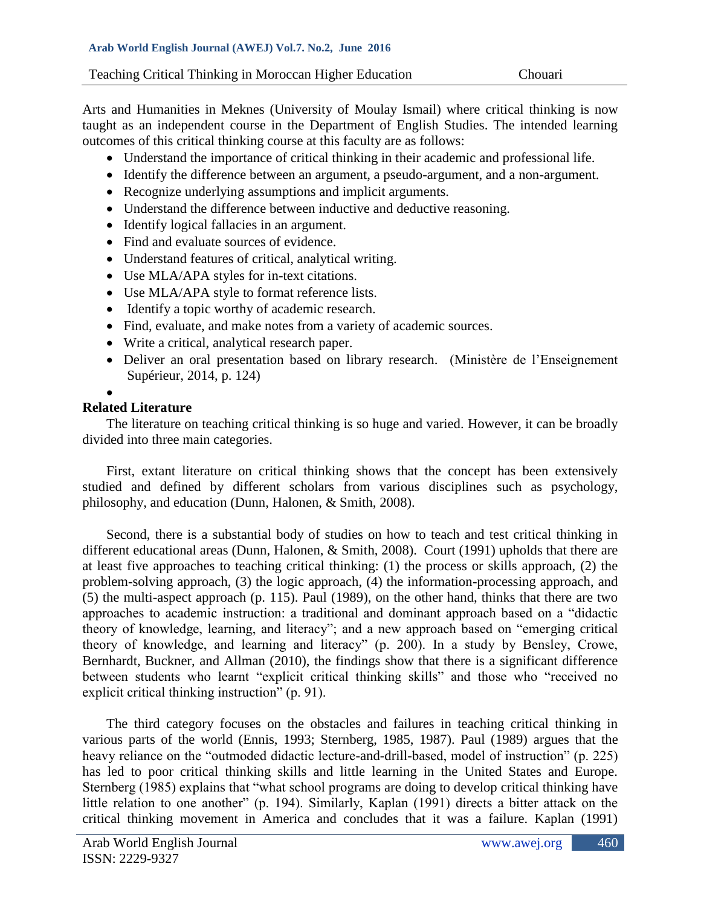Arts and Humanities in Meknes (University of Moulay Ismail) where critical thinking is now taught as an independent course in the Department of English Studies. The intended learning outcomes of this critical thinking course at this faculty are as follows:

- Understand the importance of critical thinking in their academic and professional life.
- Identify the difference between an argument, a pseudo-argument, and a non-argument.
- Recognize underlying assumptions and implicit arguments.
- Understand the difference between inductive and deductive reasoning.
- Identify logical fallacies in an argument.
- Find and evaluate sources of evidence.
- Understand features of critical, analytical writing.
- Use MLA/APA styles for in-text citations.
- Use MLA/APA style to format reference lists.
- Identify a topic worthy of academic research.
- Find, evaluate, and make notes from a variety of academic sources.
- Write a critical, analytical research paper.
- Deliver an oral presentation based on library research. (Ministère de l'Enseignement Supérieur, 2014, p. 124)

### •

# **Related Literature**

The literature on teaching critical thinking is so huge and varied. However, it can be broadly divided into three main categories.

 First, extant literature on critical thinking shows that the concept has been extensively studied and defined by different scholars from various disciplines such as psychology, philosophy, and education (Dunn, Halonen, & Smith, 2008).

 Second, there is a substantial body of studies on how to teach and test critical thinking in different educational areas (Dunn, Halonen, & Smith, 2008). Court (1991) upholds that there are at least five approaches to teaching critical thinking: (1) the process or skills approach, (2) the problem-solving approach, (3) the logic approach, (4) the information-processing approach, and (5) the multi-aspect approach (p. 115). Paul (1989), on the other hand, thinks that there are two approaches to academic instruction: a traditional and dominant approach based on a "didactic theory of knowledge, learning, and literacy"; and a new approach based on "emerging critical theory of knowledge, and learning and literacy" (p. 200). In a study by Bensley, Crowe, Bernhardt, Buckner, and Allman (2010), the findings show that there is a significant difference between students who learnt "explicit critical thinking skills" and those who "received no explicit critical thinking instruction" (p. 91).

 The third category focuses on the obstacles and failures in teaching critical thinking in various parts of the world (Ennis, 1993; Sternberg, 1985, 1987). Paul (1989) argues that the heavy reliance on the "outmoded didactic lecture-and-drill-based, model of instruction" (p. 225) has led to poor critical thinking skills and little learning in the United States and Europe. Sternberg (1985) explains that "what school programs are doing to develop critical thinking have little relation to one another" (p. 194). Similarly, Kaplan (1991) directs a bitter attack on the critical thinking movement in America and concludes that it was a failure. Kaplan (1991)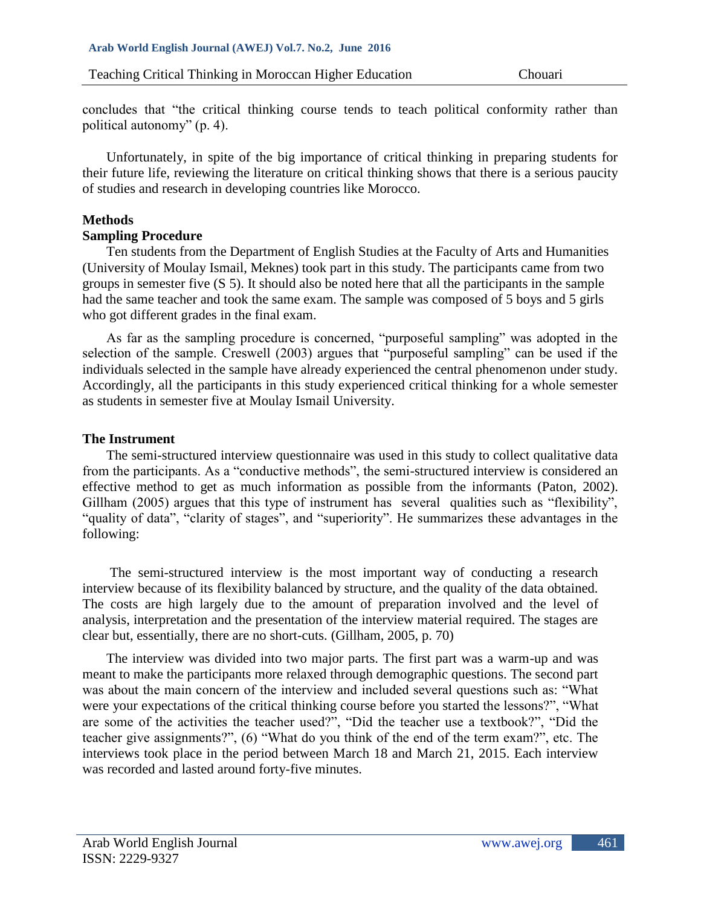concludes that "the critical thinking course tends to teach political conformity rather than political autonomy" (p. 4).

 Unfortunately, in spite of the big importance of critical thinking in preparing students for their future life, reviewing the literature on critical thinking shows that there is a serious paucity of studies and research in developing countries like Morocco.

# **Methods**

## **Sampling Procedure**

Ten students from the Department of English Studies at the Faculty of Arts and Humanities (University of Moulay Ismail, Meknes) took part in this study. The participants came from two groups in semester five (S 5). It should also be noted here that all the participants in the sample had the same teacher and took the same exam. The sample was composed of 5 boys and 5 girls who got different grades in the final exam.

 As far as the sampling procedure is concerned, "purposeful sampling" was adopted in the selection of the sample. Creswell (2003) argues that "purposeful sampling" can be used if the individuals selected in the sample have already experienced the central phenomenon under study. Accordingly, all the participants in this study experienced critical thinking for a whole semester as students in semester five at Moulay Ismail University.

## **The Instrument**

 The semi-structured interview questionnaire was used in this study to collect qualitative data from the participants. As a "conductive methods", the semi-structured interview is considered an effective method to get as much information as possible from the informants (Paton, 2002). Gillham (2005) argues that this type of instrument has several qualities such as "flexibility", "quality of data", "clarity of stages", and "superiority". He summarizes these advantages in the following:

 The semi-structured interview is the most important way of conducting a research interview because of its flexibility balanced by structure, and the quality of the data obtained. The costs are high largely due to the amount of preparation involved and the level of analysis, interpretation and the presentation of the interview material required. The stages are clear but, essentially, there are no short-cuts. (Gillham, 2005, p. 70)

 The interview was divided into two major parts. The first part was a warm-up and was meant to make the participants more relaxed through demographic questions. The second part was about the main concern of the interview and included several questions such as: "What were your expectations of the critical thinking course before you started the lessons?", "What are some of the activities the teacher used?", "Did the teacher use a textbook?", "Did the teacher give assignments?", (6) "What do you think of the end of the term exam?", etc. The interviews took place in the period between March 18 and March 21, 2015. Each interview was recorded and lasted around forty-five minutes.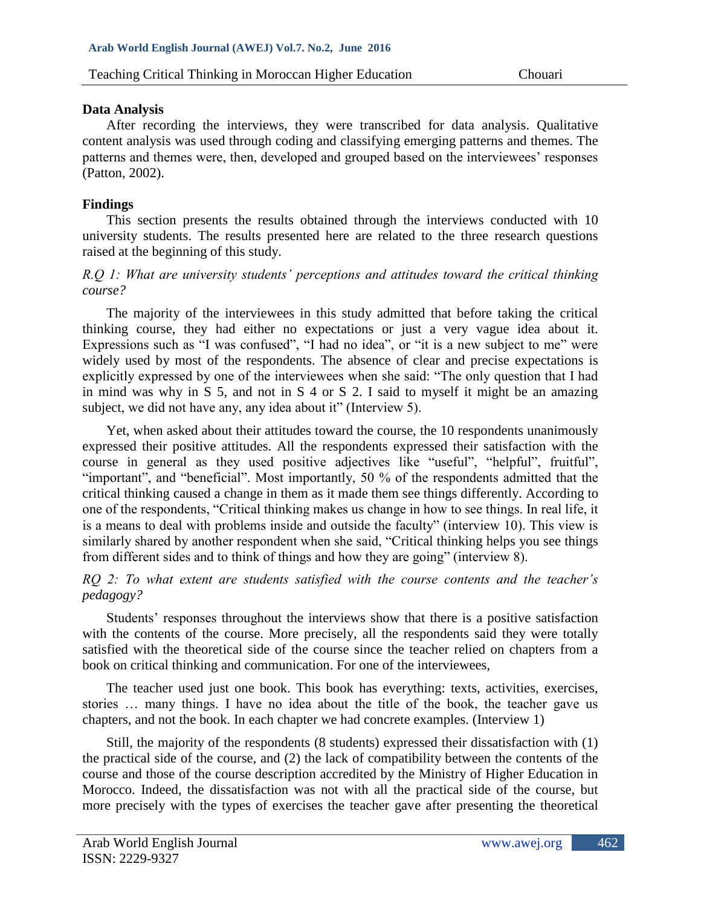# **Data Analysis**

 After recording the interviews, they were transcribed for data analysis. Qualitative content analysis was used through coding and classifying emerging patterns and themes. The patterns and themes were, then, developed and grouped based on the interviewees' responses (Patton, 2002).

# **Findings**

 This section presents the results obtained through the interviews conducted with 10 university students. The results presented here are related to the three research questions raised at the beginning of this study.

## *R.Q 1: What are university students' perceptions and attitudes toward the critical thinking course?*

 The majority of the interviewees in this study admitted that before taking the critical thinking course, they had either no expectations or just a very vague idea about it. Expressions such as "I was confused", "I had no idea", or "it is a new subject to me" were widely used by most of the respondents. The absence of clear and precise expectations is explicitly expressed by one of the interviewees when she said: "The only question that I had in mind was why in S 5, and not in S 4 or S 2. I said to myself it might be an amazing subject, we did not have any, any idea about it" (Interview 5).

 Yet, when asked about their attitudes toward the course, the 10 respondents unanimously expressed their positive attitudes. All the respondents expressed their satisfaction with the course in general as they used positive adjectives like "useful", "helpful", fruitful", "important", and "beneficial". Most importantly, 50 % of the respondents admitted that the critical thinking caused a change in them as it made them see things differently. According to one of the respondents, "Critical thinking makes us change in how to see things. In real life, it is a means to deal with problems inside and outside the faculty" (interview 10). This view is similarly shared by another respondent when she said, "Critical thinking helps you see things from different sides and to think of things and how they are going" (interview 8).

*RQ 2: To what extent are students satisfied with the course contents and the teacher's pedagogy?*

 Students' responses throughout the interviews show that there is a positive satisfaction with the contents of the course. More precisely, all the respondents said they were totally satisfied with the theoretical side of the course since the teacher relied on chapters from a book on critical thinking and communication. For one of the interviewees,

 The teacher used just one book. This book has everything: texts, activities, exercises, stories … many things. I have no idea about the title of the book, the teacher gave us chapters, and not the book. In each chapter we had concrete examples. (Interview 1)

 Still, the majority of the respondents (8 students) expressed their dissatisfaction with (1) the practical side of the course, and (2) the lack of compatibility between the contents of the course and those of the course description accredited by the Ministry of Higher Education in Morocco. Indeed, the dissatisfaction was not with all the practical side of the course, but more precisely with the types of exercises the teacher gave after presenting the theoretical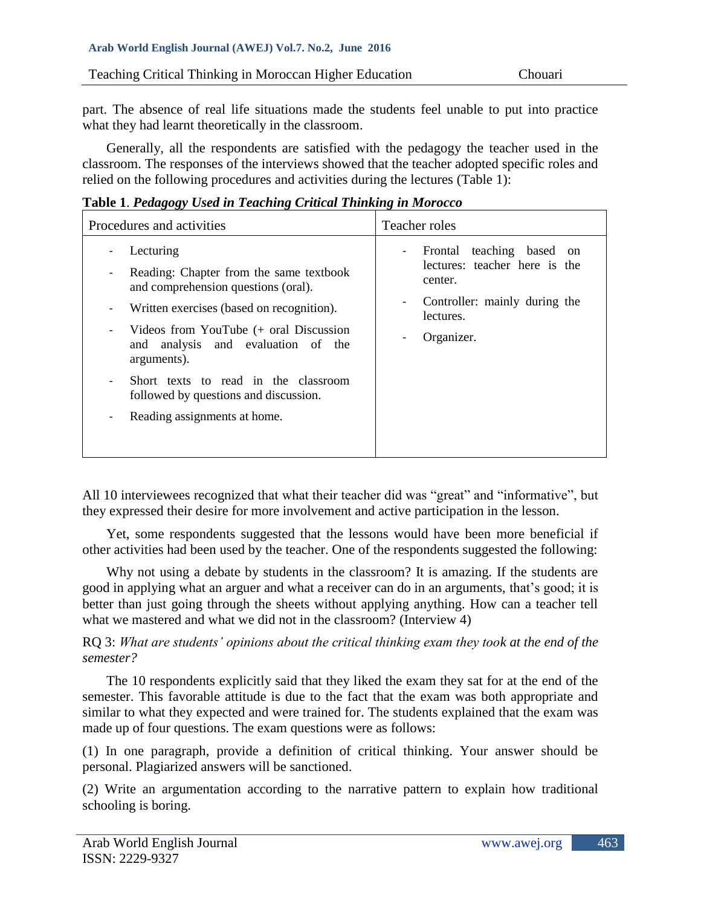part. The absence of real life situations made the students feel unable to put into practice what they had learnt theoretically in the classroom.

 Generally, all the respondents are satisfied with the pedagogy the teacher used in the classroom. The responses of the interviews showed that the teacher adopted specific roles and relied on the following procedures and activities during the lectures (Table 1):

**Table 1**. *Pedagogy Used in Teaching Critical Thinking in Morocco*

| Procedures and activities                                                                                                                                                                                                                                                                                                                                                         | Teacher roles                                                                                                                                                 |
|-----------------------------------------------------------------------------------------------------------------------------------------------------------------------------------------------------------------------------------------------------------------------------------------------------------------------------------------------------------------------------------|---------------------------------------------------------------------------------------------------------------------------------------------------------------|
| Lecturing<br>-<br>Reading: Chapter from the same textbook<br>-<br>and comprehension questions (oral).<br>Written exercises (based on recognition).<br>-<br>Videos from YouTube (+ oral Discussion<br>-<br>and analysis and evaluation of the<br>arguments).<br>Short texts to read in the classroom<br>followed by questions and discussion.<br>Reading assignments at home.<br>- | Frontal teaching based on<br>$\overline{\phantom{0}}$<br>lectures: teacher here is the<br>center.<br>Controller: mainly during the<br>lectures.<br>Organizer. |

All 10 interviewees recognized that what their teacher did was "great" and "informative", but they expressed their desire for more involvement and active participation in the lesson.

 Yet, some respondents suggested that the lessons would have been more beneficial if other activities had been used by the teacher. One of the respondents suggested the following:

 Why not using a debate by students in the classroom? It is amazing. If the students are good in applying what an arguer and what a receiver can do in an arguments, that's good; it is better than just going through the sheets without applying anything. How can a teacher tell what we mastered and what we did not in the classroom? (Interview 4)

RQ 3: *What are students' opinions about the critical thinking exam they took at the end of the semester?* 

 The 10 respondents explicitly said that they liked the exam they sat for at the end of the semester. This favorable attitude is due to the fact that the exam was both appropriate and similar to what they expected and were trained for. The students explained that the exam was made up of four questions. The exam questions were as follows:

(1) In one paragraph, provide a definition of critical thinking. Your answer should be personal. Plagiarized answers will be sanctioned.

(2) Write an argumentation according to the narrative pattern to explain how traditional schooling is boring.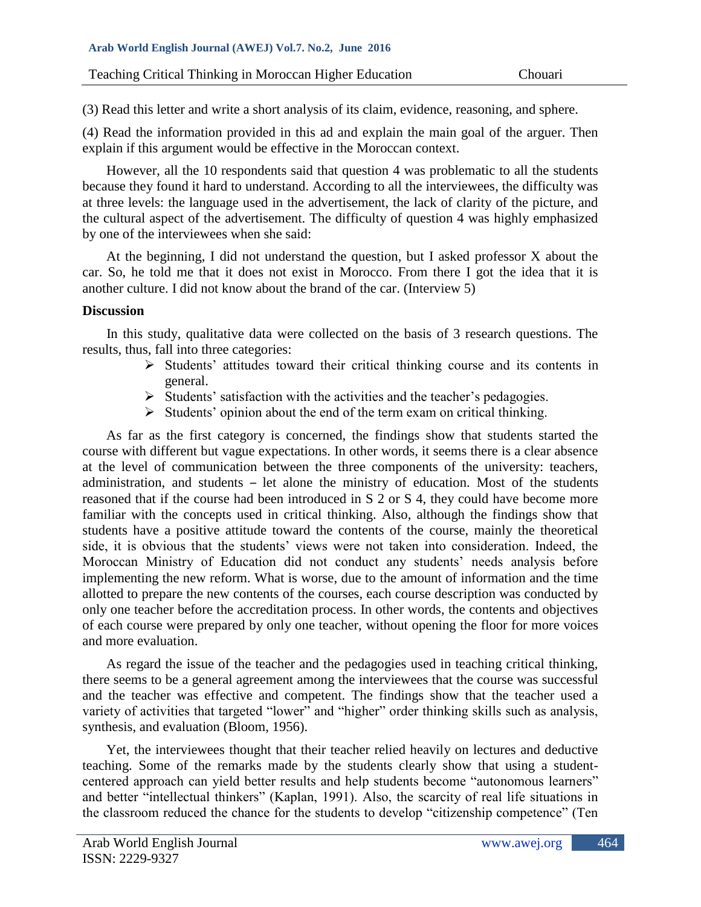(3) Read this letter and write a short analysis of its claim, evidence, reasoning, and sphere.

(4) Read the information provided in this ad and explain the main goal of the arguer. Then explain if this argument would be effective in the Moroccan context.

 However, all the 10 respondents said that question 4 was problematic to all the students because they found it hard to understand. According to all the interviewees, the difficulty was at three levels: the language used in the advertisement, the lack of clarity of the picture, and the cultural aspect of the advertisement. The difficulty of question 4 was highly emphasized by one of the interviewees when she said:

 At the beginning, I did not understand the question, but I asked professor X about the car. So, he told me that it does not exist in Morocco. From there I got the idea that it is another culture. I did not know about the brand of the car. (Interview 5)

# **Discussion**

 In this study, qualitative data were collected on the basis of 3 research questions. The results, thus, fall into three categories:

- ➢ Students' attitudes toward their critical thinking course and its contents in general.
- ➢ Students' satisfaction with the activities and the teacher's pedagogies.
- ➢ Students' opinion about the end of the term exam on critical thinking.

 As far as the first category is concerned, the findings show that students started the course with different but vague expectations. In other words, it seems there is a clear absence at the level of communication between the three components of the university: teachers, administration, and students – let alone the ministry of education. Most of the students reasoned that if the course had been introduced in S 2 or S 4, they could have become more familiar with the concepts used in critical thinking. Also, although the findings show that students have a positive attitude toward the contents of the course, mainly the theoretical side, it is obvious that the students' views were not taken into consideration. Indeed, the Moroccan Ministry of Education did not conduct any students' needs analysis before implementing the new reform. What is worse, due to the amount of information and the time allotted to prepare the new contents of the courses, each course description was conducted by only one teacher before the accreditation process. In other words, the contents and objectives of each course were prepared by only one teacher, without opening the floor for more voices and more evaluation.

 As regard the issue of the teacher and the pedagogies used in teaching critical thinking, there seems to be a general agreement among the interviewees that the course was successful and the teacher was effective and competent. The findings show that the teacher used a variety of activities that targeted "lower" and "higher" order thinking skills such as analysis, synthesis, and evaluation (Bloom, 1956).

 Yet, the interviewees thought that their teacher relied heavily on lectures and deductive teaching. Some of the remarks made by the students clearly show that using a studentcentered approach can yield better results and help students become "autonomous learners" and better "intellectual thinkers" (Kaplan, 1991). Also, the scarcity of real life situations in the classroom reduced the chance for the students to develop "citizenship competence" (Ten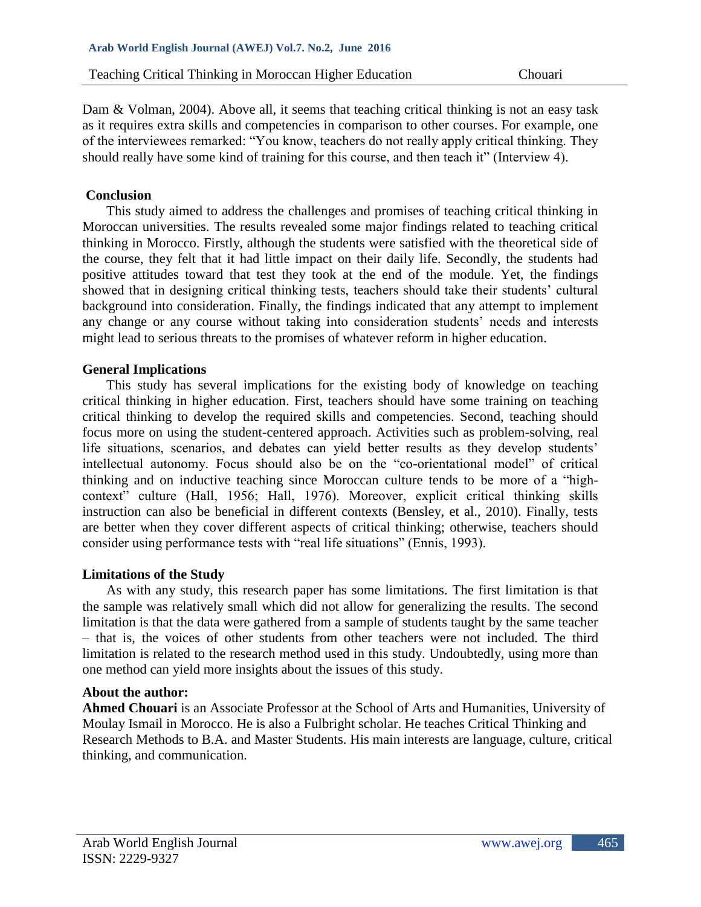Dam & Volman, 2004). Above all, it seems that teaching critical thinking is not an easy task as it requires extra skills and competencies in comparison to other courses. For example, one of the interviewees remarked: "You know, teachers do not really apply critical thinking. They should really have some kind of training for this course, and then teach it" (Interview 4).

## **Conclusion**

This study aimed to address the challenges and promises of teaching critical thinking in Moroccan universities. The results revealed some major findings related to teaching critical thinking in Morocco. Firstly, although the students were satisfied with the theoretical side of the course, they felt that it had little impact on their daily life. Secondly, the students had positive attitudes toward that test they took at the end of the module. Yet, the findings showed that in designing critical thinking tests, teachers should take their students' cultural background into consideration. Finally, the findings indicated that any attempt to implement any change or any course without taking into consideration students' needs and interests might lead to serious threats to the promises of whatever reform in higher education.

## **General Implications**

 This study has several implications for the existing body of knowledge on teaching critical thinking in higher education. First, teachers should have some training on teaching critical thinking to develop the required skills and competencies. Second, teaching should focus more on using the student-centered approach. Activities such as problem-solving, real life situations, scenarios, and debates can yield better results as they develop students' intellectual autonomy. Focus should also be on the "co-orientational model" of critical thinking and on inductive teaching since Moroccan culture tends to be more of a "highcontext" culture (Hall, 1956; Hall, 1976). Moreover, explicit critical thinking skills instruction can also be beneficial in different contexts (Bensley, et al., 2010). Finally, tests are better when they cover different aspects of critical thinking; otherwise, teachers should consider using performance tests with "real life situations" (Ennis, 1993).

### **Limitations of the Study**

 As with any study, this research paper has some limitations. The first limitation is that the sample was relatively small which did not allow for generalizing the results. The second limitation is that the data were gathered from a sample of students taught by the same teacher – that is, the voices of other students from other teachers were not included. The third limitation is related to the research method used in this study. Undoubtedly, using more than one method can yield more insights about the issues of this study.

### **About the author:**

**Ahmed Chouari** is an Associate Professor at the School of Arts and Humanities, University of Moulay Ismail in Morocco. He is also a Fulbright scholar. He teaches Critical Thinking and Research Methods to B.A. and Master Students. His main interests are language, culture, critical thinking, and communication.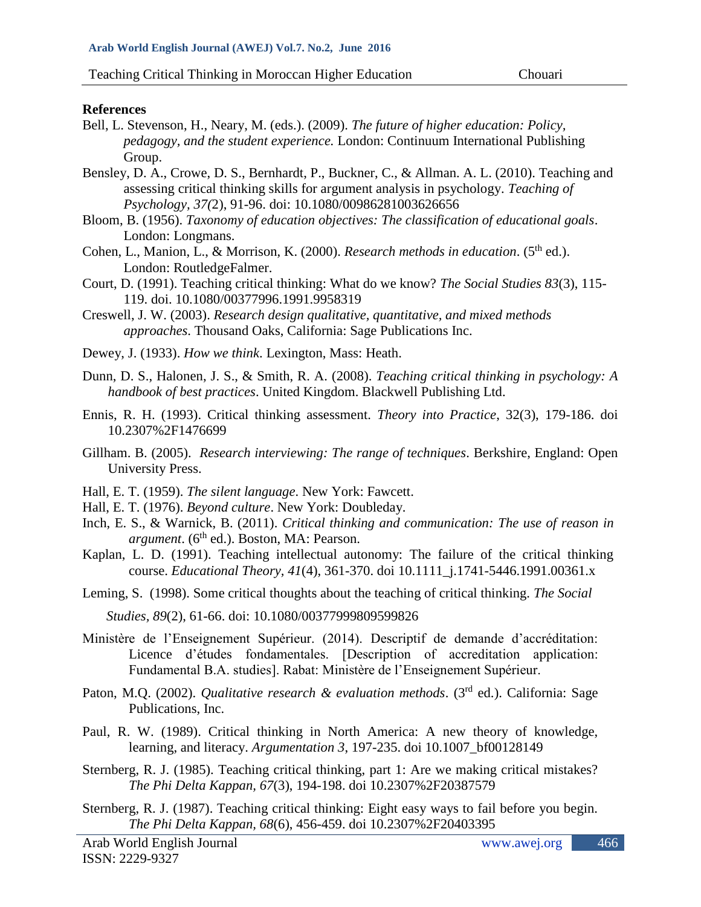#### **References**

- Bell, L. Stevenson, H., Neary, M. (eds.). (2009). *The future of higher education: Policy, pedagogy, and the student experience.* London: Continuum International Publishing Group.
- Bensley, D. A., Crowe, D. S., Bernhardt, P., Buckner, C., & Allman. A. L. (2010). Teaching and assessing critical thinking skills for argument analysis in psychology. *Teaching of Psychology, 37(*2), 91-96. doi: 10.1080/00986281003626656
- Bloom, B. (1956). *Taxonomy of education objectives: The classification of educational goals*. London: Longmans.
- Cohen, L., Manion, L., & Morrison, K. (2000). *Research methods in education*. (5<sup>th</sup> ed.). London: RoutledgeFalmer.
- Court, D. (1991). Teaching critical thinking: What do we know? *The Social Studies 83*(3), 115- 119. doi. 10.1080/00377996.1991.9958319
- Creswell, J. W. (2003). *Research design qualitative, quantitative, and mixed methods approaches*. Thousand Oaks, California: Sage Publications Inc.
- Dewey, J. (1933). *How we think*. Lexington, Mass: Heath.
- Dunn, D. S., Halonen, J. S., & Smith, R. A. (2008). *Teaching critical thinking in psychology: A handbook of best practices*. United Kingdom. Blackwell Publishing Ltd.
- Ennis, R. H. (1993). Critical thinking assessment. *Theory into Practice*, 32(3), 179-186. doi 10.2307%2F1476699
- Gillham. B. (2005). *Research interviewing: The range of techniques*. Berkshire, England: Open University Press.
- Hall, E. T. (1959). *The silent language*. New York: Fawcett.
- Hall, E. T. (1976). *Beyond culture*. New York: Doubleday.
- Inch, E. S., & Warnick, B. (2011). *Critical thinking and communication: The use of reason in argument*. (6<sup>th</sup> ed.). Boston, MA: Pearson.
- Kaplan, L. D. (1991). Teaching intellectual autonomy: The failure of the critical thinking course. *Educational Theory, 41*(4), 361-370. doi 10.1111\_j.1741-5446.1991.00361.x
- Leming, S. (1998). Some critical thoughts about the teaching of critical thinking. *The Social Studies, 89*(2), 61-66. doi: 10.1080/00377999809599826
- Ministère de l'Enseignement Supérieur. (2014). Descriptif de demande d'accréditation: Licence d'études fondamentales. [Description of accreditation application: Fundamental B.A. studies]. Rabat: Ministère de l'Enseignement Supérieur.
- Paton, M.Q. (2002). *Qualitative research & evaluation methods*. (3<sup>rd</sup> ed.). California: Sage Publications, Inc.
- Paul, R. W. (1989). Critical thinking in North America: A new theory of knowledge, learning, and literacy. *Argumentation 3*, 197-235. doi 10.1007\_bf00128149
- Sternberg, R. J. (1985). Teaching critical thinking, part 1: Are we making critical mistakes? *The Phi Delta Kappan, 67*(3), 194-198. doi 10.2307%2F20387579
- Sternberg, R. J. (1987). Teaching critical thinking: Eight easy ways to fail before you begin. *The Phi Delta Kappan, 68*(6), 456-459. doi 10.2307%2F20403395